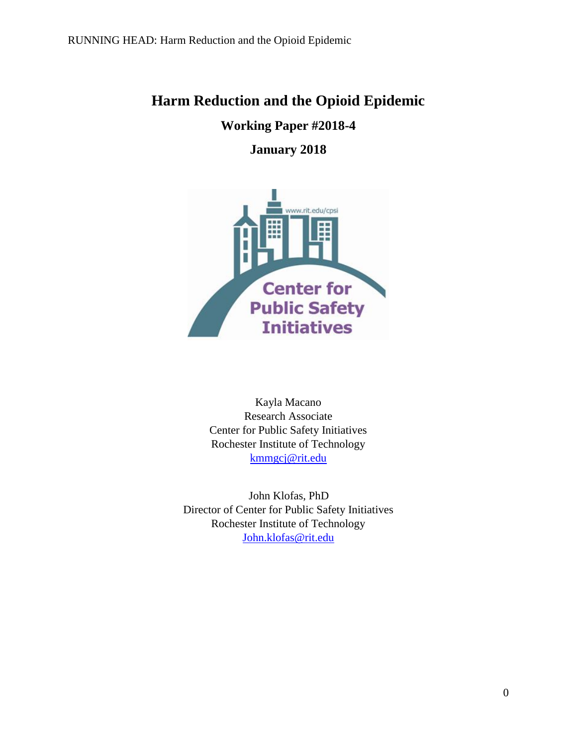# **Harm Reduction and the Opioid Epidemic**

**Working Paper #2018-4**

# **January 2018**



Kayla Macano Research Associate Center for Public Safety Initiatives Rochester Institute of Technology [kmmgcj@rit.edu](mailto:kmmgcj@rit.edu)

 John Klofas, PhD Director of Center for Public Safety Initiatives Rochester Institute of Technology [John.klofas@rit.edu](mailto:John.klofas@rit.edu)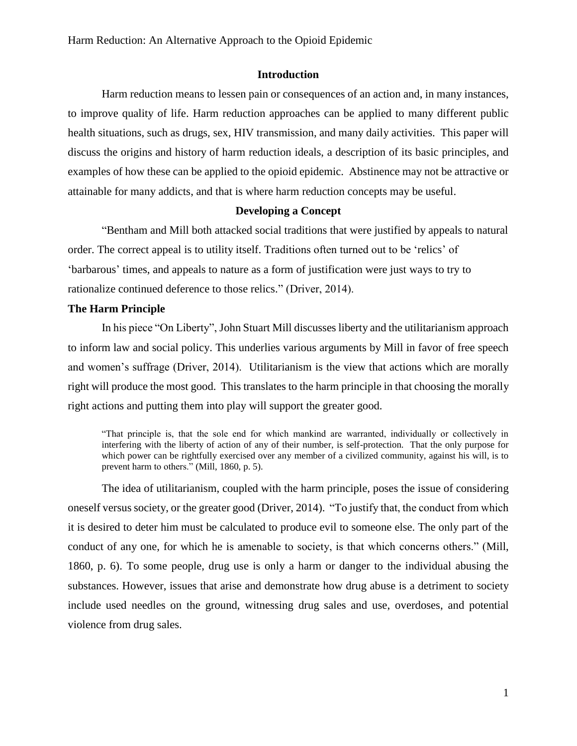## **Introduction**

Harm reduction means to lessen pain or consequences of an action and, in many instances, to improve quality of life. Harm reduction approaches can be applied to many different public health situations, such as drugs, sex, HIV transmission, and many daily activities. This paper will discuss the origins and history of harm reduction ideals, a description of its basic principles, and examples of how these can be applied to the opioid epidemic. Abstinence may not be attractive or attainable for many addicts, and that is where harm reduction concepts may be useful.

#### **Developing a Concept**

"Bentham and Mill both attacked social traditions that were justified by appeals to natural order. The correct appeal is to utility itself. Traditions often turned out to be 'relics' of 'barbarous' times, and appeals to nature as a form of justification were just ways to try to rationalize continued deference to those relics." (Driver, 2014).

#### **The Harm Principle**

In his piece "On Liberty", John Stuart Mill discusses liberty and the utilitarianism approach to inform law and social policy. This underlies various arguments by Mill in favor of free speech and women's suffrage (Driver, 2014). Utilitarianism is the view that actions which are morally right will produce the most good. This translates to the harm principle in that choosing the morally right actions and putting them into play will support the greater good.

"That principle is, that the sole end for which mankind are warranted, individually or collectively in interfering with the liberty of action of any of their number, is self-protection. That the only purpose for which power can be rightfully exercised over any member of a civilized community, against his will, is to prevent harm to others." (Mill, 1860, p. 5).

The idea of utilitarianism, coupled with the harm principle, poses the issue of considering oneself versus society, or the greater good (Driver, 2014). "To justify that, the conduct from which it is desired to deter him must be calculated to produce evil to someone else. The only part of the conduct of any one, for which he is amenable to society, is that which concerns others." (Mill, 1860, p. 6). To some people, drug use is only a harm or danger to the individual abusing the substances. However, issues that arise and demonstrate how drug abuse is a detriment to society include used needles on the ground, witnessing drug sales and use, overdoses, and potential violence from drug sales.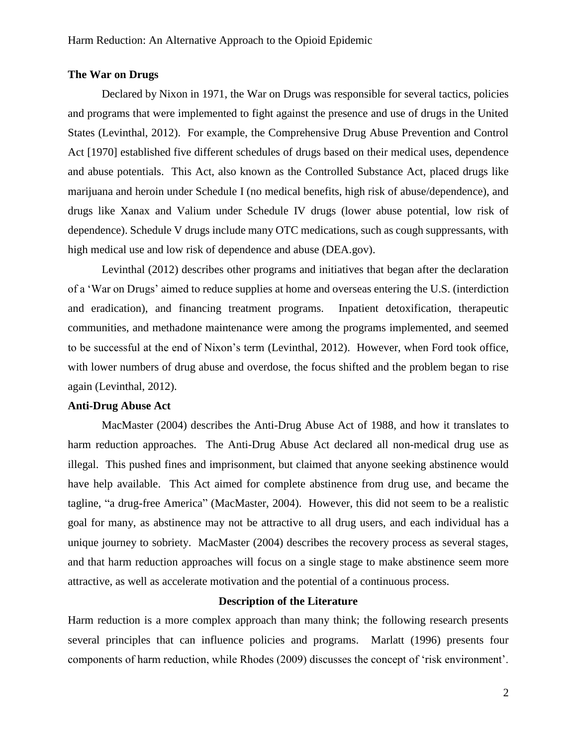#### **The War on Drugs**

Declared by Nixon in 1971, the War on Drugs was responsible for several tactics, policies and programs that were implemented to fight against the presence and use of drugs in the United States (Levinthal, 2012). For example, the Comprehensive Drug Abuse Prevention and Control Act [1970] established five different schedules of drugs based on their medical uses, dependence and abuse potentials. This Act, also known as the Controlled Substance Act, placed drugs like marijuana and heroin under Schedule I (no medical benefits, high risk of abuse/dependence), and drugs like Xanax and Valium under Schedule IV drugs (lower abuse potential, low risk of dependence). Schedule V drugs include many OTC medications, such as cough suppressants, with high medical use and low risk of dependence and abuse (DEA.gov).

Levinthal (2012) describes other programs and initiatives that began after the declaration of a 'War on Drugs' aimed to reduce supplies at home and overseas entering the U.S. (interdiction and eradication), and financing treatment programs. Inpatient detoxification, therapeutic communities, and methadone maintenance were among the programs implemented, and seemed to be successful at the end of Nixon's term (Levinthal, 2012). However, when Ford took office, with lower numbers of drug abuse and overdose, the focus shifted and the problem began to rise again (Levinthal, 2012).

## **Anti-Drug Abuse Act**

MacMaster (2004) describes the Anti-Drug Abuse Act of 1988, and how it translates to harm reduction approaches. The Anti-Drug Abuse Act declared all non-medical drug use as illegal. This pushed fines and imprisonment, but claimed that anyone seeking abstinence would have help available. This Act aimed for complete abstinence from drug use, and became the tagline, "a drug-free America" (MacMaster, 2004). However, this did not seem to be a realistic goal for many, as abstinence may not be attractive to all drug users, and each individual has a unique journey to sobriety. MacMaster (2004) describes the recovery process as several stages, and that harm reduction approaches will focus on a single stage to make abstinence seem more attractive, as well as accelerate motivation and the potential of a continuous process.

# **Description of the Literature**

Harm reduction is a more complex approach than many think; the following research presents several principles that can influence policies and programs. Marlatt (1996) presents four components of harm reduction, while Rhodes (2009) discusses the concept of 'risk environment'.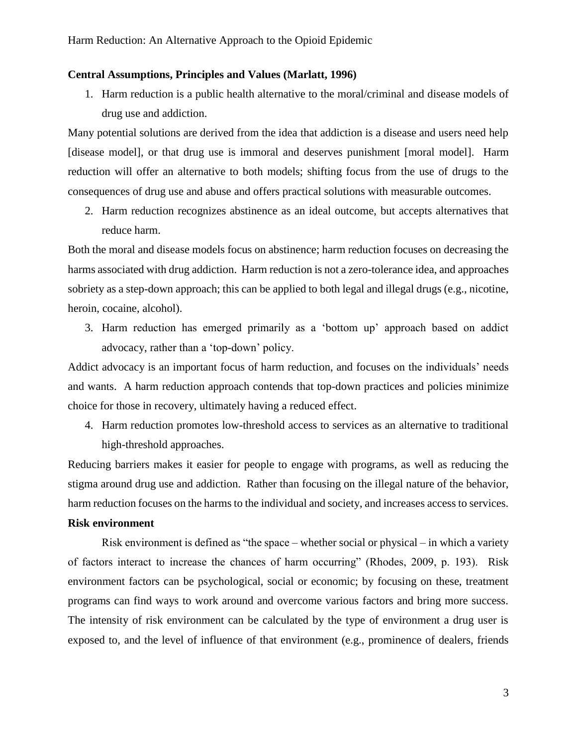## **Central Assumptions, Principles and Values (Marlatt, 1996)**

1. Harm reduction is a public health alternative to the moral/criminal and disease models of drug use and addiction.

Many potential solutions are derived from the idea that addiction is a disease and users need help [disease model], or that drug use is immoral and deserves punishment [moral model]. Harm reduction will offer an alternative to both models; shifting focus from the use of drugs to the consequences of drug use and abuse and offers practical solutions with measurable outcomes.

2. Harm reduction recognizes abstinence as an ideal outcome, but accepts alternatives that reduce harm.

Both the moral and disease models focus on abstinence; harm reduction focuses on decreasing the harms associated with drug addiction. Harm reduction is not a zero-tolerance idea, and approaches sobriety as a step-down approach; this can be applied to both legal and illegal drugs (e.g., nicotine, heroin, cocaine, alcohol).

3. Harm reduction has emerged primarily as a 'bottom up' approach based on addict advocacy, rather than a 'top-down' policy.

Addict advocacy is an important focus of harm reduction, and focuses on the individuals' needs and wants. A harm reduction approach contends that top-down practices and policies minimize choice for those in recovery, ultimately having a reduced effect.

4. Harm reduction promotes low-threshold access to services as an alternative to traditional high-threshold approaches.

Reducing barriers makes it easier for people to engage with programs, as well as reducing the stigma around drug use and addiction. Rather than focusing on the illegal nature of the behavior, harm reduction focuses on the harms to the individual and society, and increases access to services.

## **Risk environment**

Risk environment is defined as "the space – whether social or physical – in which a variety of factors interact to increase the chances of harm occurring" (Rhodes, 2009, p. 193). Risk environment factors can be psychological, social or economic; by focusing on these, treatment programs can find ways to work around and overcome various factors and bring more success. The intensity of risk environment can be calculated by the type of environment a drug user is exposed to, and the level of influence of that environment (e.g., prominence of dealers, friends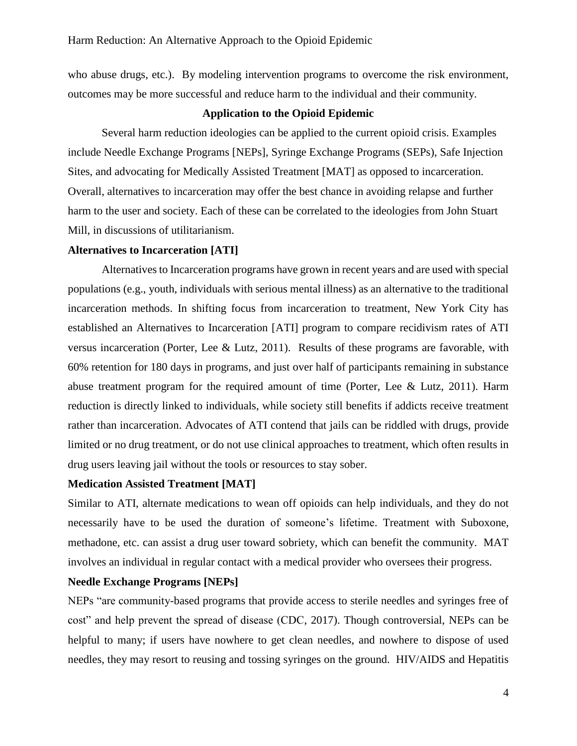who abuse drugs, etc.). By modeling intervention programs to overcome the risk environment, outcomes may be more successful and reduce harm to the individual and their community.

#### **Application to the Opioid Epidemic**

Several harm reduction ideologies can be applied to the current opioid crisis. Examples include Needle Exchange Programs [NEPs], Syringe Exchange Programs (SEPs), Safe Injection Sites, and advocating for Medically Assisted Treatment [MAT] as opposed to incarceration. Overall, alternatives to incarceration may offer the best chance in avoiding relapse and further harm to the user and society. Each of these can be correlated to the ideologies from John Stuart Mill, in discussions of utilitarianism.

# **Alternatives to Incarceration [ATI]**

Alternatives to Incarceration programs have grown in recent years and are used with special populations (e.g., youth, individuals with serious mental illness) as an alternative to the traditional incarceration methods. In shifting focus from incarceration to treatment, New York City has established an Alternatives to Incarceration [ATI] program to compare recidivism rates of ATI versus incarceration (Porter, Lee & Lutz, 2011). Results of these programs are favorable, with 60% retention for 180 days in programs, and just over half of participants remaining in substance abuse treatment program for the required amount of time (Porter, Lee & Lutz, 2011). Harm reduction is directly linked to individuals, while society still benefits if addicts receive treatment rather than incarceration. Advocates of ATI contend that jails can be riddled with drugs, provide limited or no drug treatment, or do not use clinical approaches to treatment, which often results in drug users leaving jail without the tools or resources to stay sober.

#### **Medication Assisted Treatment [MAT]**

Similar to ATI, alternate medications to wean off opioids can help individuals, and they do not necessarily have to be used the duration of someone's lifetime. Treatment with Suboxone, methadone, etc. can assist a drug user toward sobriety, which can benefit the community. MAT involves an individual in regular contact with a medical provider who oversees their progress.

# **Needle Exchange Programs [NEPs]**

NEPs "are community-based programs that provide access to sterile needles and syringes free of cost" and help prevent the spread of disease (CDC, 2017). Though controversial, NEPs can be helpful to many; if users have nowhere to get clean needles, and nowhere to dispose of used needles, they may resort to reusing and tossing syringes on the ground. HIV/AIDS and Hepatitis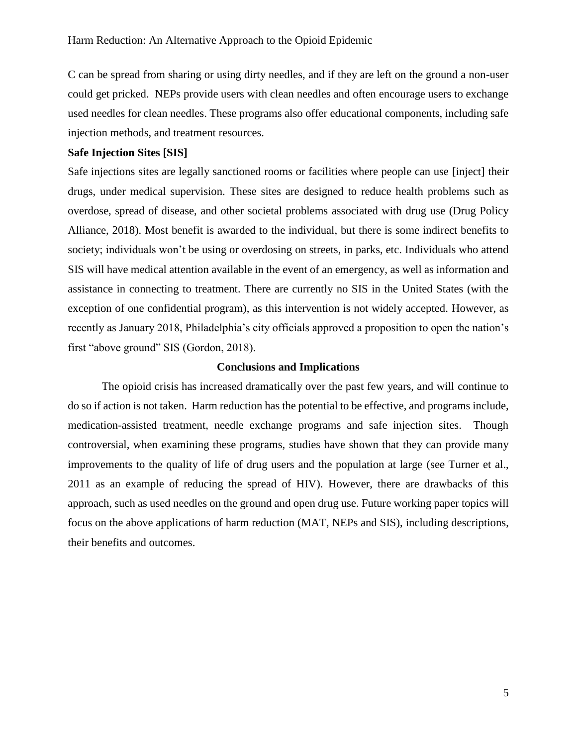C can be spread from sharing or using dirty needles, and if they are left on the ground a non-user could get pricked. NEPs provide users with clean needles and often encourage users to exchange used needles for clean needles. These programs also offer educational components, including safe injection methods, and treatment resources.

# **Safe Injection Sites [SIS]**

Safe injections sites are legally sanctioned rooms or facilities where people can use [inject] their drugs, under medical supervision. These sites are designed to reduce health problems such as overdose, spread of disease, and other societal problems associated with drug use (Drug Policy Alliance, 2018). Most benefit is awarded to the individual, but there is some indirect benefits to society; individuals won't be using or overdosing on streets, in parks, etc. Individuals who attend SIS will have medical attention available in the event of an emergency, as well as information and assistance in connecting to treatment. There are currently no SIS in the United States (with the exception of one confidential program), as this intervention is not widely accepted. However, as recently as January 2018, Philadelphia's city officials approved a proposition to open the nation's first "above ground" SIS (Gordon, 2018).

#### **Conclusions and Implications**

The opioid crisis has increased dramatically over the past few years, and will continue to do so if action is not taken. Harm reduction has the potential to be effective, and programs include, medication-assisted treatment, needle exchange programs and safe injection sites. Though controversial, when examining these programs, studies have shown that they can provide many improvements to the quality of life of drug users and the population at large (see Turner et al., 2011 as an example of reducing the spread of HIV). However, there are drawbacks of this approach, such as used needles on the ground and open drug use. Future working paper topics will focus on the above applications of harm reduction (MAT, NEPs and SIS), including descriptions, their benefits and outcomes.